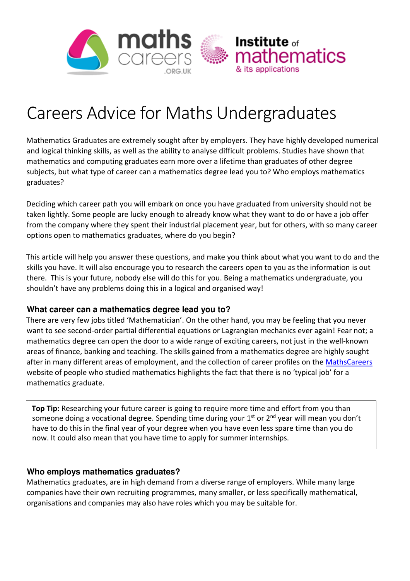

# Careers Advice for Maths Undergraduates

Mathematics Graduates are extremely sought after by employers. They have highly developed numerical and logical thinking skills, as well as the ability to analyse difficult problems. Studies have shown that mathematics and computing graduates earn more over a lifetime than graduates of other degree subjects, but what type of career can a mathematics degree lead you to? Who employs mathematics graduates?

Deciding which career path you will embark on once you have graduated from university should not be taken lightly. Some people are lucky enough to already know what they want to do or have a job offer from the company where they spent their industrial placement year, but for others, with so many career options open to mathematics graduates, where do you begin?

This article will help you answer these questions, and make you think about what you want to do and the skills you have. It will also encourage you to research the careers open to you as the information is out there. This is your future, nobody else will do this for you. Being a mathematics undergraduate, you shouldn't have any problems doing this in a logical and organised way!

## **What career can a mathematics degree lead you to?**

There are very few jobs titled 'Mathematician'. On the other hand, you may be feeling that you never want to see second-order partial differential equations or Lagrangian mechanics ever again! Fear not; a mathematics degree can open the door to a wide range of exciting careers, not just in the well-known areas of finance, banking and teaching. The skills gained from a mathematics degree are highly sought after in many different areas of employment, and the collection of career profiles on the [MathsCareers](http://www.mathscareers.org.uk/profile/) website of people who studied mathematics highlights the fact that there is no 'typical job' for a mathematics graduate.

 **Top Tip:** Researching your future career is going to require more time and effort from you than someone doing a vocational degree. Spending time during your  $1<sup>st</sup>$  or  $2<sup>nd</sup>$  year will mean you don't have to do this in the final year of your degree when you have even less spare time than you do now. It could also mean that you have time to apply for summer internships.

## **Who employs mathematics graduates?**

I

Mathematics graduates, are in high demand from a diverse range of employers. While many large companies have their own recruiting programmes, many smaller, or less specifically mathematical, organisations and companies may also have roles which you may be suitable for.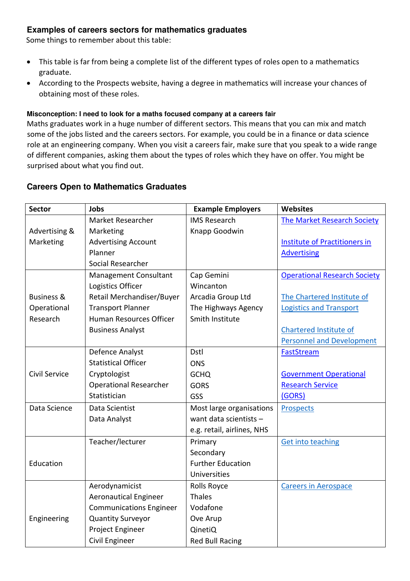## **Examples of careers sectors for mathematics graduates**

Some things to remember about this table:

- This table is far from being a complete list of the different types of roles open to a mathematics graduate.
- According to the Prospects website, having a degree in mathematics will increase your chances of obtaining most of these roles.

#### **Misconception: I need to look for a maths focused company at a careers fair**

Maths graduates work in a huge number of different sectors. This means that you can mix and match some of the jobs listed and the careers sectors. For example, you could be in a finance or data science role at an engineering company. When you visit a careers fair, make sure that you speak to a wide range of different companies, asking them about the types of roles which they have on offer. You might be surprised about what you find out.

### **Careers Open to Mathematics Graduates**

| <b>Sector</b>         | <b>Jobs</b>                    | <b>Example Employers</b>   | <b>Websites</b>                      |
|-----------------------|--------------------------------|----------------------------|--------------------------------------|
|                       | Market Researcher              | <b>IMS Research</b>        | The Market Research Society          |
| Advertising &         | Marketing                      | Knapp Goodwin              |                                      |
| Marketing             | <b>Advertising Account</b>     |                            | <b>Institute of Practitioners in</b> |
|                       | Planner                        |                            | <b>Advertising</b>                   |
|                       | Social Researcher              |                            |                                      |
|                       | Management Consultant          | Cap Gemini                 | <b>Operational Research Society</b>  |
|                       | Logistics Officer              | Wincanton                  |                                      |
| <b>Business &amp;</b> | Retail Merchandiser/Buyer      | Arcadia Group Ltd          | The Chartered Institute of           |
| Operational           | <b>Transport Planner</b>       | The Highways Agency        | <b>Logistics and Transport</b>       |
| Research              | <b>Human Resources Officer</b> | Smith Institute            |                                      |
|                       | <b>Business Analyst</b>        |                            | <b>Chartered Institute of</b>        |
|                       |                                |                            | <b>Personnel and Development</b>     |
|                       | Defence Analyst                | Dstl                       | FastStream                           |
|                       | <b>Statistical Officer</b>     | <b>ONS</b>                 |                                      |
| Civil Service         | Cryptologist                   | <b>GCHQ</b>                | <b>Government Operational</b>        |
|                       | <b>Operational Researcher</b>  | <b>GORS</b>                | <b>Research Service</b>              |
|                       | Statistician                   | GSS                        | (GORS)                               |
| Data Science          | Data Scientist                 | Most large organisations   | <b>Prospects</b>                     |
|                       | Data Analyst                   | want data scientists -     |                                      |
|                       |                                | e.g. retail, airlines, NHS |                                      |
|                       | Teacher/lecturer               | Primary                    | <b>Get into teaching</b>             |
|                       |                                | Secondary                  |                                      |
| Education             |                                | <b>Further Education</b>   |                                      |
|                       |                                | Universities               |                                      |
|                       | Aerodynamicist                 | Rolls Royce                | <b>Careers in Aerospace</b>          |
|                       | <b>Aeronautical Engineer</b>   | <b>Thales</b>              |                                      |
|                       | <b>Communications Engineer</b> | Vodafone                   |                                      |
| Engineering           | <b>Quantity Surveyor</b>       | Ove Arup                   |                                      |
|                       | Project Engineer               | QinetiQ                    |                                      |
|                       | Civil Engineer                 | <b>Red Bull Racing</b>     |                                      |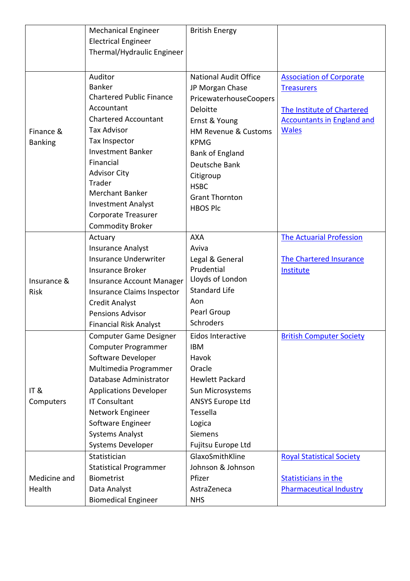|                | <b>Mechanical Engineer</b>      | <b>British Energy</b>           |                                   |
|----------------|---------------------------------|---------------------------------|-----------------------------------|
|                | <b>Electrical Engineer</b>      |                                 |                                   |
|                | Thermal/Hydraulic Engineer      |                                 |                                   |
|                |                                 |                                 |                                   |
|                | Auditor                         | <b>National Audit Office</b>    | <b>Association of Corporate</b>   |
|                | <b>Banker</b>                   | JP Morgan Chase                 | <b>Treasurers</b>                 |
|                | <b>Chartered Public Finance</b> | PricewaterhouseCoopers          |                                   |
|                | Accountant                      | <b>Deloitte</b>                 | The Institute of Chartered        |
|                | <b>Chartered Accountant</b>     | Ernst & Young                   | <b>Accountants in England and</b> |
| Finance &      | <b>Tax Advisor</b>              | <b>HM Revenue &amp; Customs</b> | <b>Wales</b>                      |
| <b>Banking</b> | Tax Inspector                   | <b>KPMG</b>                     |                                   |
|                | <b>Investment Banker</b>        | Bank of England                 |                                   |
|                | Financial                       | Deutsche Bank                   |                                   |
|                | <b>Advisor City</b>             | Citigroup                       |                                   |
|                | Trader                          | <b>HSBC</b>                     |                                   |
|                | <b>Merchant Banker</b>          | <b>Grant Thornton</b>           |                                   |
|                | <b>Investment Analyst</b>       | <b>HBOS Plc</b>                 |                                   |
|                | Corporate Treasurer             |                                 |                                   |
|                | <b>Commodity Broker</b>         |                                 |                                   |
|                | Actuary                         | <b>AXA</b>                      | <b>The Actuarial Profession</b>   |
|                | <b>Insurance Analyst</b>        | Aviva                           |                                   |
|                | Insurance Underwriter           | Legal & General                 | <b>The Chartered Insurance</b>    |
|                | <b>Insurance Broker</b>         | Prudential                      | Institute                         |
| Insurance &    | Insurance Account Manager       | Lloyds of London                |                                   |
| <b>Risk</b>    | Insurance Claims Inspector      | <b>Standard Life</b>            |                                   |
|                | <b>Credit Analyst</b>           | Aon                             |                                   |
|                | <b>Pensions Advisor</b>         | Pearl Group                     |                                   |
|                | <b>Financial Risk Analyst</b>   | Schroders                       |                                   |
|                | Computer Game Designer          | Eidos Interactive               | <b>British Computer Society</b>   |
|                | Computer Programmer             | <b>IBM</b>                      |                                   |
|                | Software Developer              | Havok                           |                                   |
|                | Multimedia Programmer           | Oracle                          |                                   |
|                | Database Administrator          | <b>Hewlett Packard</b>          |                                   |
| IT&            | <b>Applications Developer</b>   | Sun Microsystems                |                                   |
| Computers      | <b>IT Consultant</b>            | <b>ANSYS Europe Ltd</b>         |                                   |
|                | Network Engineer                | Tessella                        |                                   |
|                | Software Engineer               | Logica                          |                                   |
|                | <b>Systems Analyst</b>          | <b>Siemens</b>                  |                                   |
|                | Systems Developer               | Fujitsu Europe Ltd              |                                   |
|                | Statistician                    | GlaxoSmithKline                 | <b>Royal Statistical Society</b>  |
|                | <b>Statistical Programmer</b>   | Johnson & Johnson               |                                   |
| Medicine and   | <b>Biometrist</b>               | Pfizer                          | <b>Statisticians in the</b>       |
| Health         | Data Analyst                    | AstraZeneca                     | <b>Pharmaceutical Industry</b>    |
|                | <b>Biomedical Engineer</b>      | <b>NHS</b>                      |                                   |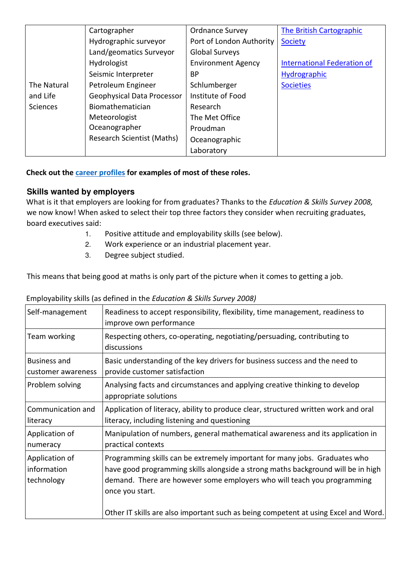|                 | Cartographer                      | <b>Ordnance Survey</b>    | <b>The British Cartographic</b>    |
|-----------------|-----------------------------------|---------------------------|------------------------------------|
|                 | Hydrographic surveyor             | Port of London Authority  | Society                            |
|                 | Land/geomatics Surveyor           | <b>Global Surveys</b>     |                                    |
|                 | Hydrologist                       | <b>Environment Agency</b> | <b>International Federation of</b> |
|                 | Seismic Interpreter               | <b>BP</b>                 | Hydrographic                       |
| The Natural     | Petroleum Engineer                | Schlumberger              | <b>Societies</b>                   |
| and Life        | Geophysical Data Processor        | Institute of Food         |                                    |
| <b>Sciences</b> | Biomathematician                  | Research                  |                                    |
|                 | Meteorologist                     | The Met Office            |                                    |
|                 | Oceanographer                     | Proudman                  |                                    |
|                 | <b>Research Scientist (Maths)</b> | Oceanographic             |                                    |
|                 |                                   | Laboratory                |                                    |

**Check out the [career profiles](http://www.mathscareers.org.uk/profile/) for examples of most of these roles.** 

## **Skills wanted by employers**

What is it that employers are looking for from graduates? Thanks to the *Education & Skills Survey 2008,* we now know! When asked to select their top three factors they consider when recruiting graduates, board executives said:

- 1. Positive attitude and employability skills (see below).
- 2. Work experience or an industrial placement year.
- 3. Degree subject studied.

This means that being good at maths is only part of the picture when it comes to getting a job.

| Self-management                             | Readiness to accept responsibility, flexibility, time management, readiness to<br>improve own performance                                                                                                                                                    |
|---------------------------------------------|--------------------------------------------------------------------------------------------------------------------------------------------------------------------------------------------------------------------------------------------------------------|
| Team working                                | Respecting others, co-operating, negotiating/persuading, contributing to<br>discussions                                                                                                                                                                      |
| <b>Business and</b><br>customer awareness   | Basic understanding of the key drivers for business success and the need to<br>provide customer satisfaction                                                                                                                                                 |
| Problem solving                             | Analysing facts and circumstances and applying creative thinking to develop<br>appropriate solutions                                                                                                                                                         |
| Communication and<br>literacy               | Application of literacy, ability to produce clear, structured written work and oral<br>literacy, including listening and questioning                                                                                                                         |
| Application of<br>numeracy                  | Manipulation of numbers, general mathematical awareness and its application in<br>practical contexts                                                                                                                                                         |
| Application of<br>information<br>technology | Programming skills can be extremely important for many jobs. Graduates who<br>have good programming skills alongside a strong maths background will be in high<br>demand. There are however some employers who will teach you programming<br>once you start. |
|                                             | Other IT skills are also important such as being competent at using Excel and Word.                                                                                                                                                                          |

## Employability skills (as defined in the *Education & Skills Survey 2008)*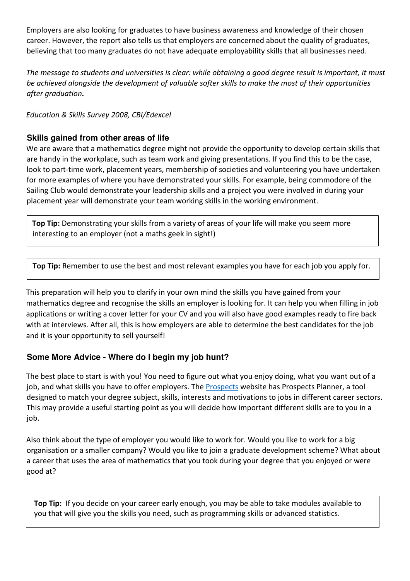Employers are also looking for graduates to have business awareness and knowledge of their chosen career. However, the report also tells us that employers are concerned about the quality of graduates, believing that too many graduates do not have adequate employability skills that all businesses need.

*The message to students and universities is clear: while obtaining a good degree result is important, it must be achieved alongside the development of valuable softer skills to make the most of their opportunities after graduation.* 

*Education & Skills Survey 2008, CBI/Edexcel* 

# **Skills gained from other areas of life**

We are aware that a mathematics degree might not provide the opportunity to develop certain skills that are handy in the workplace, such as team work and giving presentations. If you find this to be the case, look to part-time work, placement years, membership of societies and volunteering you have undertaken for more examples of where you have demonstrated your skills. For example, being commodore of the Sailing Club would demonstrate your leadership skills and a project you were involved in during your placement year will demonstrate your team working skills in the working environment.

**Top Tip:** Demonstrating your skills from a variety of areas of your life will make you seem more interesting to an employer (not a maths geek in sight!)

**Top Tip:** Remember to use the best and most relevant examples you have for each job you apply for.

This preparation will help you to clarify in your own mind the skills you have gained from your mathematics degree and recognise the skills an employer is looking for. It can help you when filling in job applications or writing a cover letter for your CV and you will also have good examples ready to fire back with at interviews. After all, this is how employers are able to determine the best candidates for the job and it is your opportunity to sell yourself!

# **Some More Advice - Where do I begin my job hunt?**

 $\overline{\phantom{a}}$ 

The best place to start is with you! You need to figure out what you enjoy doing, what you want out of a job, and what skills you have to offer employers. The **Prospects** website has [Prospects](https://www.prospects.ac.uk/planner) Planner, a tool designed to match your degree subject, skills, interests and motivations to jobs in different career sectors. This may provide a useful starting point as you will decide how important different skills are to you in a job.

Also think about the type of employer you would like to work for. Would you like to work for a big organisation or a smaller company? Would you like to join a graduate development scheme? What about a career that uses the area of mathematics that you took during your degree that you enjoyed or were good at?

**Top Tip:** If you decide on your career early enough, you may be able to take modules available to you that will give you the skills you need, such as programming skills or advanced statistics.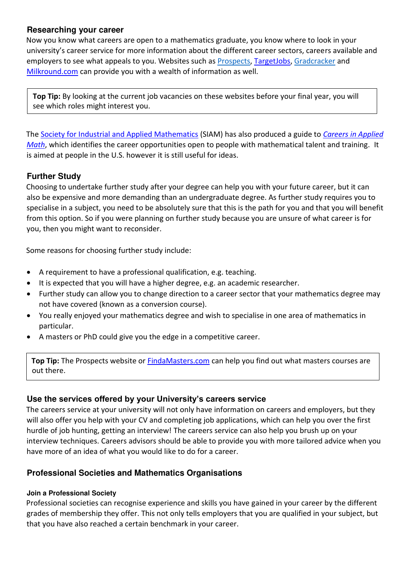## **Researching your career**

Now you know what careers are open to a mathematics graduate, you know where to look in your university's career service for more information about the different career sectors, careers available and employers to see what appeals to you. Websites such as [Prospects,](https://www.prospects.ac.uk/) TargetJob[s,](http://www.get.hobsons.co.uk/) [Gradcracker](https://www.gradcracker.com/) and [Milkround.com](http://www.milkround.com/) can provide you with a wealth of information as well.

**Top Tip:** By looking at the current job vacancies on these websites before your final year, you will see which roles might interest you.

The [Society for Industrial and Applied Mathematics](http://www.siam.org/) (SIAM) has also produced a guide to *[Careers in Applied](http://www.siam.org/careers/thinking/pdf/brochure.pdf)  [Math](http://www.siam.org/careers/thinking/pdf/brochure.pdf)*, which identifies the career opportunities open to people with mathematical talent and training. It is aimed at people in the U.S. however it is still useful for ideas.

# **Further Study**

 $\overline{\phantom{a}}$ 

Choosing to undertake further study after your degree can help you with your future career, but it can also be expensive and more demanding than an undergraduate degree. As further study requires you to specialise in a subject, you need to be absolutely sure that this is the path for you and that you will benefit from this option. So if you were planning on further study because you are unsure of what career is for you, then you might want to reconsider.

Some reasons for choosing further study include:

- A requirement to have a professional qualification, e.g. teaching.
- It is expected that you will have a higher degree, e.g. an academic researcher.
- Further study can allow you to change direction to a career sector that your mathematics degree may not have covered (known as a conversion course).
- You really enjoyed your mathematics degree and wish to specialise in one area of mathematics in particular.
- A masters or PhD could give you the edge in a competitive career.

**Top Tip:** The Prospects website or [FindaMasters.com](http://www.findamasters.com/firstmain.asp) can help you find out what masters courses are out there.

## **Use the services offered by your University's careers service**

The careers service at your university will not only have information on careers and employers, but they will also offer you help with your CV and completing job applications, which can help you over the first hurdle of job hunting, getting an interview! The careers service can also help you brush up on your interview techniques. Careers advisors should be able to provide you with more tailored advice when you have more of an idea of what you would like to do for a career.

## **Professional Societies and Mathematics Organisations**

## **Join a Professional Society**

Professional societies can recognise experience and skills you have gained in your career by the different grades of membership they offer. This not only tells employers that you are qualified in your subject, but that you have also reached a certain benchmark in your career.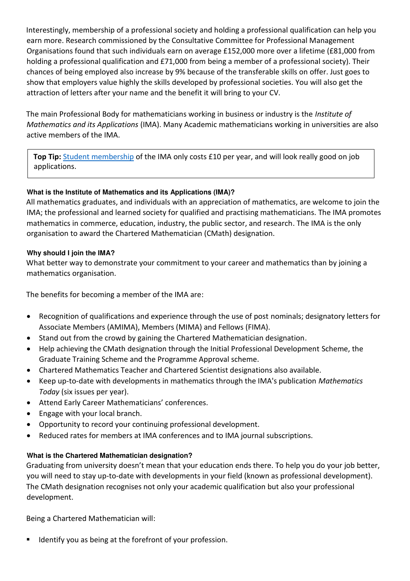Interestingly, membership of a professional society and holding a professional qualification can help you earn more. Research commissioned by the Consultative Committee for Professional Management Organisations found that such individuals earn on average £152,000 more over a lifetime (£81,000 from holding a professional qualification and £71,000 from being a member of a professional society). Their chances of being employed also increase by 9% because of the transferable skills on offer. Just goes to show that employers value highly the skills developed by professional societies. You will also get the attraction of letters after your name and the benefit it will bring to your CV.

The main Professional Body for mathematicians working in business or industry is the *Institute of Mathematics and its Applications* (IMA). Many Academic mathematicians working in universities are also active members of the IMA.

**Top Tip:** [Student membership](https://ima.org.uk/support/student/student-undergraduate/) of the IMA only costs £10 per year, and will look really good on job applications.

## **What is the Institute of Mathematics and its Applications (IMA)?**

All mathematics graduates, and individuals with an appreciation of mathematics, are welcome to join the IMA; the professional and learned society for qualified and practising mathematicians. The IMA promotes mathematics in commerce, education, industry, the public sector, and research. The IMA is the only organisation to award the Chartered Mathematician (CMath) designation.

### **Why should I join the IMA?**

What better way to demonstrate your commitment to your career and mathematics than by joining a mathematics organisation.

The benefits for becoming a member of the IMA are:

- Recognition of qualifications and experience through the use of post nominals; designatory letters for Associate Members (AMIMA), Members (MIMA) and Fellows (FIMA).
- Stand out from the crowd by gaining the Chartered Mathematician designation.
- Help achieving the CMath designation through the Initial Professional Development Scheme, the Graduate Training Scheme and the Programme Approval scheme.
- Chartered Mathematics Teacher and Chartered Scientist designations also available.
- Keep up-to-date with developments in mathematics through the IMA's publication *Mathematics Today* (six issues per year).
- Attend Early Career Mathematicians' conferences.
- Engage with your local branch.
- Opportunity to record your continuing professional development.
- Reduced rates for members at IMA conferences and to IMA journal subscriptions.

#### **What is the Chartered Mathematician designation?**

Graduating from university doesn't mean that your education ends there. To help you do your job better, you will need to stay up-to-date with developments in your field (known as professional development). The CMath designation recognises not only your academic qualification but also your professional development.

Being a Chartered Mathematician will:

Identify you as being at the forefront of your profession.